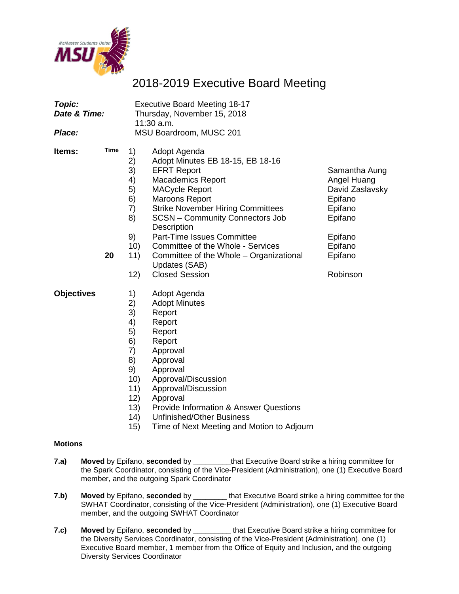

# 2018-2019 Executive Board Meeting

| Topic:<br>Date & Time:<br>Place: |             |                                                                                               | <b>Executive Board Meeting 18-17</b><br>Thursday, November 15, 2018<br>11:30 a.m.<br>MSU Boardroom, MUSC 201                                                                                                                                                                                                      |                                                                                  |
|----------------------------------|-------------|-----------------------------------------------------------------------------------------------|-------------------------------------------------------------------------------------------------------------------------------------------------------------------------------------------------------------------------------------------------------------------------------------------------------------------|----------------------------------------------------------------------------------|
| Items:                           | <b>Time</b> | 1)<br>2)<br>3)<br>4)<br>5)<br>6)<br>7)<br>8)                                                  | Adopt Agenda<br>Adopt Minutes EB 18-15, EB 18-16<br><b>EFRT Report</b><br><b>Macademics Report</b><br><b>MACycle Report</b><br><b>Maroons Report</b><br><b>Strike November Hiring Committees</b><br><b>SCSN - Community Connectors Job</b><br>Description                                                         | Samantha Aung<br>Angel Huang<br>David Zaslavsky<br>Epifano<br>Epifano<br>Epifano |
|                                  | 20          | 9)<br>10)<br>11)<br>12)                                                                       | Part-Time Issues Committee<br>Committee of the Whole - Services<br>Committee of the Whole - Organizational<br>Updates (SAB)<br><b>Closed Session</b>                                                                                                                                                              | Epifano<br>Epifano<br>Epifano<br>Robinson                                        |
| <b>Objectives</b>                |             | 1)<br>2)<br>3)<br>4)<br>5)<br>6)<br>7)<br>8)<br>9)<br>10)<br>11)<br>12)<br>13)<br>(14)<br>15) | Adopt Agenda<br><b>Adopt Minutes</b><br>Report<br>Report<br>Report<br>Report<br>Approval<br>Approval<br>Approval<br>Approval/Discussion<br>Approval/Discussion<br>Approval<br><b>Provide Information &amp; Answer Questions</b><br><b>Unfinished/Other Business</b><br>Time of Next Meeting and Motion to Adjourn |                                                                                  |
| <b>Motions</b>                   |             |                                                                                               |                                                                                                                                                                                                                                                                                                                   |                                                                                  |
| 7.a)                             |             |                                                                                               | Moved by Epifano, seconded by ______________that Executive Board strike a hiring committee for<br>the Spark Coordinator, consisting of the Vice-President (Administration), one (1) Executive Board                                                                                                               |                                                                                  |

**7.b) Moved** by Epifano, **seconded** by \_\_\_\_\_\_\_\_ that Executive Board strike a hiring committee for the SWHAT Coordinator, consisting of the Vice-President (Administration), one (1) Executive Board member, and the outgoing SWHAT Coordinator

member, and the outgoing Spark Coordinator

**7.c) Moved** by Epifano, **seconded** by \_\_\_\_\_\_\_\_\_ that Executive Board strike a hiring committee for the Diversity Services Coordinator, consisting of the Vice-President (Administration), one (1) Executive Board member, 1 member from the Office of Equity and Inclusion, and the outgoing Diversity Services Coordinator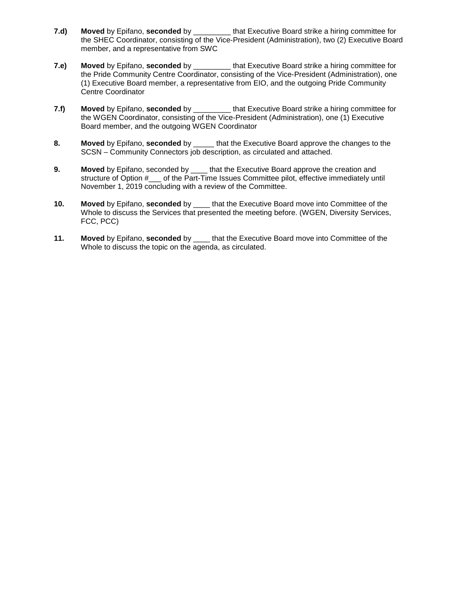- **7.d) Moved** by Epifano, **seconded** by \_\_\_\_\_\_\_\_\_ that Executive Board strike a hiring committee for the SHEC Coordinator, consisting of the Vice-President (Administration), two (2) Executive Board member, and a representative from SWC
- **7.e) Moved** by Epifano, **seconded** by \_\_\_\_\_\_\_\_\_ that Executive Board strike a hiring committee for the Pride Community Centre Coordinator, consisting of the Vice-President (Administration), one (1) Executive Board member, a representative from EIO, and the outgoing Pride Community Centre Coordinator
- **7.f) Moved** by Epifano, **seconded** by \_\_\_\_\_\_\_\_\_ that Executive Board strike a hiring committee for the WGEN Coordinator, consisting of the Vice-President (Administration), one (1) Executive Board member, and the outgoing WGEN Coordinator
- **8. Moved** by Epifano, **seconded** by \_\_\_\_\_ that the Executive Board approve the changes to the SCSN – Community Connectors job description, as circulated and attached.
- **9. Moved** by Epifano, seconded by \_\_\_\_ that the Executive Board approve the creation and structure of Option # \_\_\_ of the Part-Time Issues Committee pilot, effective immediately until November 1, 2019 concluding with a review of the Committee.
- **10. Moved** by Epifano, **seconded** by \_\_\_\_ that the Executive Board move into Committee of the Whole to discuss the Services that presented the meeting before. (WGEN, Diversity Services, FCC, PCC)
- **11. Moved** by Epifano, **seconded** by \_\_\_\_ that the Executive Board move into Committee of the Whole to discuss the topic on the agenda, as circulated.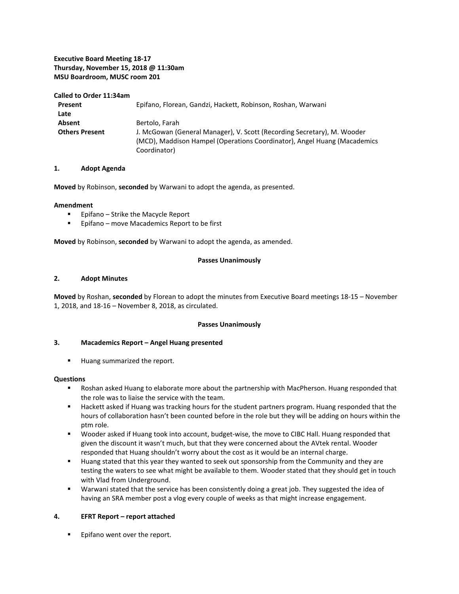#### **Executive Board Meeting 18-17 Thursday, November 15, 2018 @ 11:30am MSU Boardroom, MUSC room 201**

#### **Called to Order 11:34am**

| Present               | Epifano, Florean, Gandzi, Hackett, Robinson, Roshan, Warwani                                                                                                        |  |
|-----------------------|---------------------------------------------------------------------------------------------------------------------------------------------------------------------|--|
| Late                  |                                                                                                                                                                     |  |
| Absent                | Bertolo, Farah                                                                                                                                                      |  |
| <b>Others Present</b> | J. McGowan (General Manager), V. Scott (Recording Secretary), M. Wooder<br>(MCD), Maddison Hampel (Operations Coordinator), Angel Huang (Macademics<br>Coordinator) |  |

#### **1. Adopt Agenda**

**Moved** by Robinson, **seconded** by Warwani to adopt the agenda, as presented.

#### **Amendment**

- **Epifano Strike the Macycle Report**
- **Epifano** move Macademics Report to be first

**Moved** by Robinson, **seconded** by Warwani to adopt the agenda, as amended.

#### **Passes Unanimously**

#### **2. Adopt Minutes**

**Moved** by Roshan, **seconded** by Florean to adopt the minutes from Executive Board meetings 18-15 – November 1, 2018, and 18-16 – November 8, 2018, as circulated.

#### **Passes Unanimously**

#### **3. Macademics Report – Angel Huang presented**

**Huang summarized the report.** 

#### **Questions**

- Roshan asked Huang to elaborate more about the partnership with MacPherson. Huang responded that the role was to liaise the service with the team.
- **Hackett asked if Huang was tracking hours for the student partners program. Huang responded that the** hours of collaboration hasn't been counted before in the role but they will be adding on hours within the ptm role.
- Wooder asked if Huang took into account, budget-wise, the move to CIBC Hall. Huang responded that given the discount it wasn't much, but that they were concerned about the AVtek rental. Wooder responded that Huang shouldn't worry about the cost as it would be an internal charge.
- Huang stated that this year they wanted to seek out sponsorship from the Community and they are testing the waters to see what might be available to them. Wooder stated that they should get in touch with Vlad from Underground.
- Warwani stated that the service has been consistently doing a great job. They suggested the idea of having an SRA member post a vlog every couple of weeks as that might increase engagement.

#### **4. EFRT Report – report attached**

**Epifano went over the report.**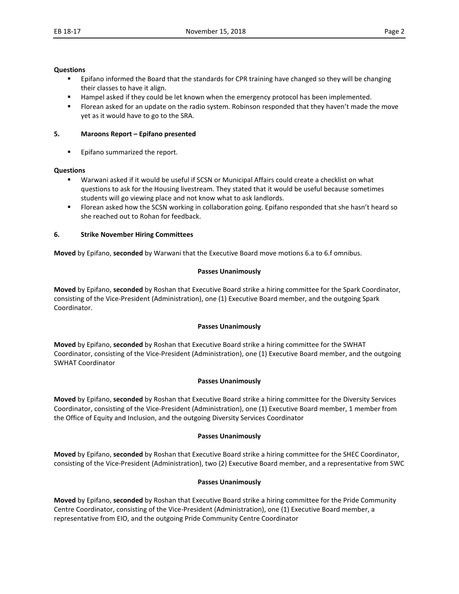#### **Questions**

- **E** Epifano informed the Board that the standards for CPR training have changed so they will be changing their classes to have it align.
- **Hampel asked if they could be let known when the emergency protocol has been implemented.**
- **FIOT** Florean asked for an update on the radio system. Robinson responded that they haven't made the move yet as it would have to go to the SRA.

#### **5. Maroons Report – Epifano presented**

**Epifano summarized the report.** 

#### **Questions**

- Warwani asked if it would be useful if SCSN or Municipal Affairs could create a checklist on what questions to ask for the Housing livestream. They stated that it would be useful because sometimes students will go viewing place and not know what to ask landlords.
- Florean asked how the SCSN working in collaboration going. Epifano responded that she hasn't heard so she reached out to Rohan for feedback.

#### **6. Strike November Hiring Committees**

**Moved** by Epifano, **seconded** by Warwani that the Executive Board move motions 6.a to 6.f omnibus.

#### **Passes Unanimously**

**Moved** by Epifano, **seconded** by Roshan that Executive Board strike a hiring committee for the Spark Coordinator, consisting of the Vice-President (Administration), one (1) Executive Board member, and the outgoing Spark Coordinator.

#### **Passes Unanimously**

**Moved** by Epifano, **seconded** by Roshan that Executive Board strike a hiring committee for the SWHAT Coordinator, consisting of the Vice-President (Administration), one (1) Executive Board member, and the outgoing SWHAT Coordinator

#### **Passes Unanimously**

**Moved** by Epifano, **seconded** by Roshan that Executive Board strike a hiring committee for the Diversity Services Coordinator, consisting of the Vice-President (Administration), one (1) Executive Board member, 1 member from the Office of Equity and Inclusion, and the outgoing Diversity Services Coordinator

#### **Passes Unanimously**

**Moved** by Epifano, **seconded** by Roshan that Executive Board strike a hiring committee for the SHEC Coordinator, consisting of the Vice-President (Administration), two (2) Executive Board member, and a representative from SWC

#### **Passes Unanimously**

**Moved** by Epifano, **seconded** by Roshan that Executive Board strike a hiring committee for the Pride Community Centre Coordinator, consisting of the Vice-President (Administration), one (1) Executive Board member, a representative from EIO, and the outgoing Pride Community Centre Coordinator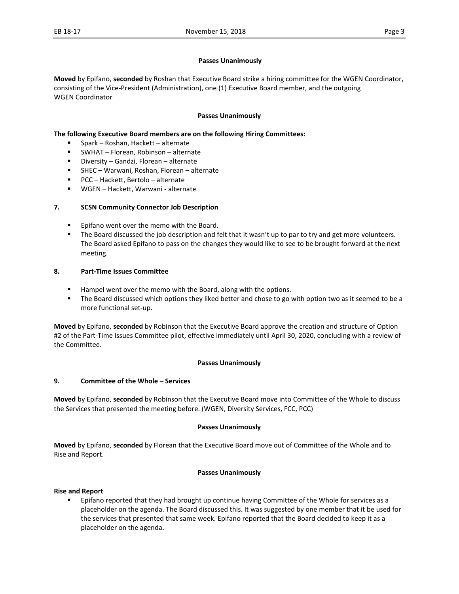#### **Passes Unanimously**

**Moved** by Epifano, **seconded** by Roshan that Executive Board strike a hiring committee for the WGEN Coordinator, consisting of the Vice-President (Administration), one (1) Executive Board member, and the outgoing WGEN Coordinator

#### **Passes Unanimously**

#### **The following Executive Board members are on the following Hiring Committees:**

- Spark Roshan, Hackett alternate
- SWHAT Florean, Robinson alternate
- Diversity Gandzi, Florean alternate
- SHEC Warwani, Roshan, Florean alternate
- PCC Hackett, Bertolo alternate
- WGEN Hackett, Warwani alternate

#### **7. SCSN Community Connector Job Description**

- **Epifano went over the memo with the Board.**
- The Board discussed the job description and felt that it wasn't up to par to try and get more volunteers. The Board asked Epifano to pass on the changes they would like to see to be brought forward at the next meeting.

#### **8. Part-Time Issues Committee**

- Hampel went over the memo with the Board, along with the options.
- The Board discussed which options they liked better and chose to go with option two as it seemed to be a more functional set-up.

**Moved** by Epifano, **seconded** by Robinson that the Executive Board approve the creation and structure of Option #2 of the Part-Time Issues Committee pilot, effective immediately until April 30, 2020, concluding with a review of the Committee.

#### **Passes Unanimously**

#### **9. Committee of the Whole – Services**

**Moved** by Epifano, **seconded** by Robinson that the Executive Board move into Committee of the Whole to discuss the Services that presented the meeting before. (WGEN, Diversity Services, FCC, PCC)

#### **Passes Unanimously**

**Moved** by Epifano, **seconded** by Florean that the Executive Board move out of Committee of the Whole and to Rise and Report.

#### **Passes Unanimously**

#### **Rise and Report**

**Epifano reported that they had brought up continue having Committee of the Whole for services as a** placeholder on the agenda. The Board discussed this. It was suggested by one member that it be used for the services that presented that same week. Epifano reported that the Board decided to keep it as a placeholder on the agenda.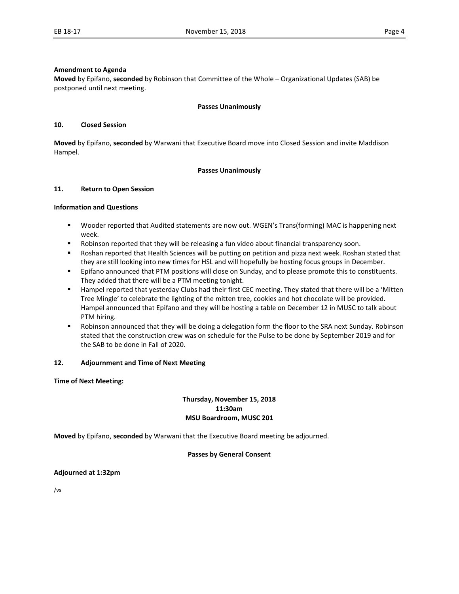#### **Amendment to Agenda**

**Moved** by Epifano, **seconded** by Robinson that Committee of the Whole – Organizational Updates (SAB) be postponed until next meeting.

#### **Passes Unanimously**

#### **10. Closed Session**

**Moved** by Epifano, **seconded** by Warwani that Executive Board move into Closed Session and invite Maddison Hampel.

#### **Passes Unanimously**

#### **11. Return to Open Session**

#### **Information and Questions**

- Wooder reported that Audited statements are now out. WGEN's Trans(forming) MAC is happening next week.
- Robinson reported that they will be releasing a fun video about financial transparency soon.
- Roshan reported that Health Sciences will be putting on petition and pizza next week. Roshan stated that they are still looking into new times for HSL and will hopefully be hosting focus groups in December.
- **Epifano announced that PTM positions will close on Sunday, and to please promote this to constituents.** They added that there will be a PTM meeting tonight.
- Hampel reported that yesterday Clubs had their first CEC meeting. They stated that there will be a 'Mitten Tree Mingle' to celebrate the lighting of the mitten tree, cookies and hot chocolate will be provided. Hampel announced that Epifano and they will be hosting a table on December 12 in MUSC to talk about PTM hiring.
- **•** Robinson announced that they will be doing a delegation form the floor to the SRA next Sunday. Robinson stated that the construction crew was on schedule for the Pulse to be done by September 2019 and for the SAB to be done in Fall of 2020.

#### **12. Adjournment and Time of Next Meeting**

#### **Time of Next Meeting:**

#### **Thursday, November 15, 2018 11:30am MSU Boardroom, MUSC 201**

**Moved** by Epifano, **seconded** by Warwani that the Executive Board meeting be adjourned.

#### **Passes by General Consent**

#### **Adjourned at 1:32pm**

/vs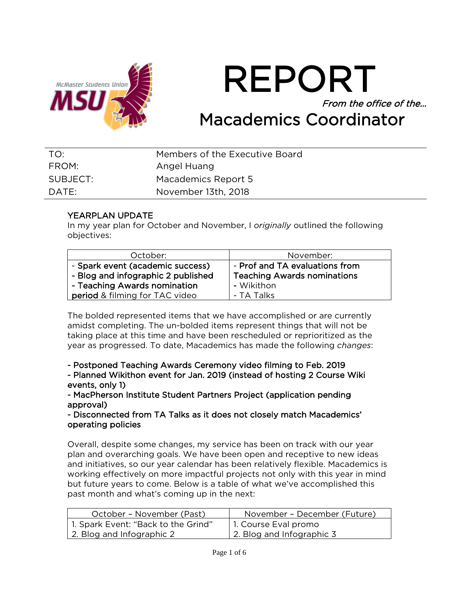

REPORT From the office of the… Macademics Coordinator

| TO:      | Members of the Executive Board |
|----------|--------------------------------|
| FROM:    | Angel Huang                    |
| SUBJECT: | Macademics Report 5            |
| DATE:    | November 13th, 2018            |

# YEARPLAN UPDATE

In my year plan for October and November, I *originally* outlined the following objectives:

| October:                              | November:                          |
|---------------------------------------|------------------------------------|
| - Spark event (academic success)      | - Prof and TA evaluations from     |
| - Blog and infographic 2 published    | <b>Teaching Awards nominations</b> |
| - Teaching Awards nomination          | - Wikithon                         |
| <b>period</b> & filming for TAC video | - TA Talks                         |

The bolded represented items that we have accomplished or are currently amidst completing. The un-bolded items represent things that will not be taking place at this time and have been rescheduled or reprioritized as the year as progressed. To date, Macademics has made the following *changes*:

- Postponed Teaching Awards Ceremony video filming to Feb. 2019

- Planned Wikithon event for Jan. 2019 (instead of hosting 2 Course Wiki events, only 1)

- MacPherson Institute Student Partners Project (application pending approval)

- Disconnected from TA Talks as it does not closely match Macademics' operating policies

Overall, despite some changes, my service has been on track with our year plan and overarching goals. We have been open and receptive to new ideas and initiatives, so our year calendar has been relatively flexible. Macademics is working effectively on more impactful projects not only with this year in mind but future years to come. Below is a table of what we've accomplished this past month and what's coming up in the next:

| October - November (Past)           | November - December (Future) |
|-------------------------------------|------------------------------|
| 1. Spark Event: "Back to the Grind" | 1. Course Eval promo         |
| 2. Blog and Infographic 2           | 2. Blog and Infographic 3    |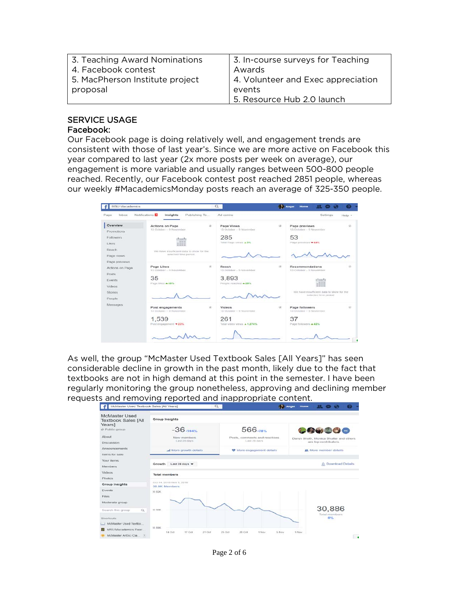| 3. Teaching Award Nominations   | 3. In-course surveys for Teaching  |
|---------------------------------|------------------------------------|
| 4. Facebook contest             | Awards                             |
| 5. MacPherson Institute project | 4. Volunteer and Exec appreciation |
| proposal                        | events                             |
|                                 | 5. Resource Hub 2.0 launch         |

# SERVICE USAGE

#### Facebook:

Our Facebook page is doing relatively well, and engagement trends are consistent with those of last year's. Since we are more active on Facebook this year compared to last year (2x more posts per week on average), our engagement is more variable and usually ranges between 500-800 people reached. Recently, our Facebook contest post reached 2851 people, whereas our weekly #MacademicsMonday posts reach an average of 325-350 people.

| Page<br>Inbox                                                                             | Notifications <sup>1</sup><br>Publishing To<br>Insights                                                                                                                 | Ad centre                                                                     | Settings<br>Help +                                                                                                                                                                          |
|-------------------------------------------------------------------------------------------|-------------------------------------------------------------------------------------------------------------------------------------------------------------------------|-------------------------------------------------------------------------------|---------------------------------------------------------------------------------------------------------------------------------------------------------------------------------------------|
| Overview<br>Promotions<br>Followers<br>Likes<br>Reach<br>Page views                       | Actions on Page<br>13 October - 9 November<br>shmehi<br>199 90 891<br>20, 01 10 10<br>40 40 44 84<br>We have insufficient data to show for the<br>selected time period. | on.<br>Page Views<br>13 October - 9 November<br>285<br>Total Page views & 3%  | Page previews<br>$\mathcal{L}$<br>œ.<br>13 October - 9 November<br>53<br>Page previews 744%                                                                                                 |
| Page previews<br>Actions on Page<br>Posts<br>Events<br>Videos<br><b>Stories</b><br>Poople | Page Likes<br>13 October - 9 November<br>35<br>Page 18tes = 35%                                                                                                         | $\cdot$<br>Reach<br>13 October - 9 November<br>3,893<br>People reached - 29%  | 40<br>Recommendations<br>13 October - 9 November<br>phonetic<br>10,3214<br>an on an our<br><b>AN SIX MD SIX</b><br>We nave insufficient data to show for the<br>turlecting nemit baltimiran |
| Mossagos                                                                                  | Post engagements<br>13 October -- 5 November<br>1,539<br>Post engagement = 23%                                                                                          | on.<br>Videon<br>13 October - 9 November<br>261<br>Total video views ▲ 1,274% | $\mathcal{L}$<br>Page followers<br>G)<br>13 October - 9 November<br>37<br>Page followers + 42%                                                                                              |

As well, the group "McMaster Used Textbook Sales [All Years]" has seen considerable decline in growth in the past month, likely due to the fact that textbooks are not in high demand at this point in the semester. I have been regularly monitoring the group nonetheless, approving and declining member requests and removing reported and inappropriate content.



Page 2 of 6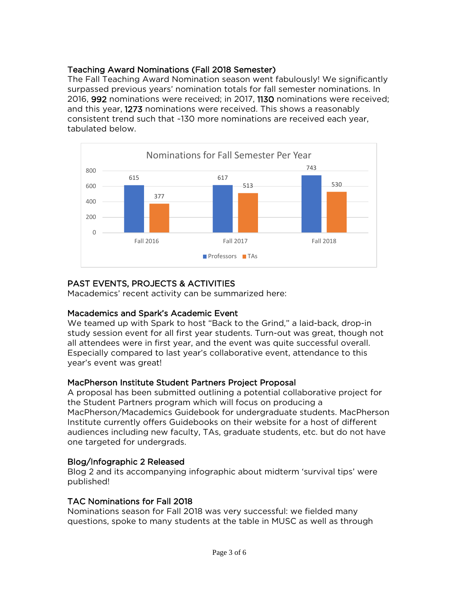# Teaching Award Nominations (Fall 2018 Semester)

The Fall Teaching Award Nomination season went fabulously! We significantly surpassed previous years' nomination totals for fall semester nominations. In 2016, 992 nominations were received; in 2017, 1130 nominations were received; and this year, 1273 nominations were received. This shows a reasonably consistent trend such that ~130 more nominations are received each year, tabulated below.



# PAST EVENTS, PROJECTS & ACTIVITIES

Macademics' recent activity can be summarized here:

# Macademics and Spark's Academic Event

We teamed up with Spark to host "Back to the Grind," a laid-back, drop-in study session event for all first year students. Turn-out was great, though not all attendees were in first year, and the event was quite successful overall. Especially compared to last year's collaborative event, attendance to this year's event was great!

# MacPherson Institute Student Partners Project Proposal

A proposal has been submitted outlining a potential collaborative project for the Student Partners program which will focus on producing a MacPherson/Macademics Guidebook for undergraduate students. MacPherson Institute currently offers Guidebooks on their website for a host of different audiences including new faculty, TAs, graduate students, etc. but do not have one targeted for undergrads.

# Blog/Infographic 2 Released

Blog 2 and its accompanying infographic about midterm 'survival tips' were published!

# TAC Nominations for Fall 2018

Nominations season for Fall 2018 was very successful: we fielded many questions, spoke to many students at the table in MUSC as well as through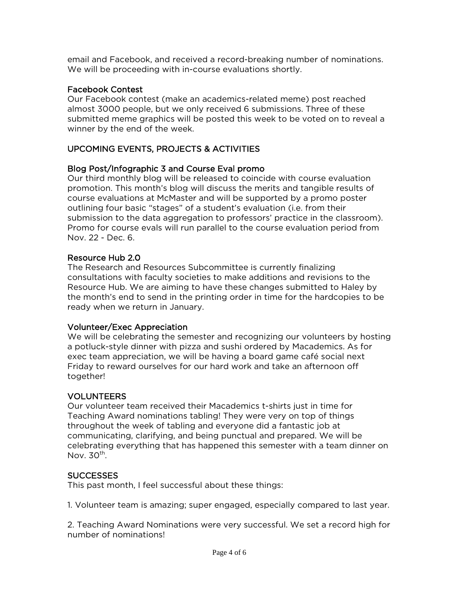email and Facebook, and received a record-breaking number of nominations. We will be proceeding with in-course evaluations shortly.

# Facebook Contest

Our Facebook contest (make an academics-related meme) post reached almost 3000 people, but we only received 6 submissions. Three of these submitted meme graphics will be posted this week to be voted on to reveal a winner by the end of the week.

# UPCOMING EVENTS, PROJECTS & ACTIVITIES

# Blog Post/Infographic 3 and Course Eval promo

Our third monthly blog will be released to coincide with course evaluation promotion. This month's blog will discuss the merits and tangible results of course evaluations at McMaster and will be supported by a promo poster outlining four basic "stages" of a student's evaluation (i.e. from their submission to the data aggregation to professors' practice in the classroom). Promo for course evals will run parallel to the course evaluation period from Nov. 22 - Dec. 6.

# Resource Hub 2.0

The Research and Resources Subcommittee is currently finalizing consultations with faculty societies to make additions and revisions to the Resource Hub. We are aiming to have these changes submitted to Haley by the month's end to send in the printing order in time for the hardcopies to be ready when we return in January.

# Volunteer/Exec Appreciation

We will be celebrating the semester and recognizing our volunteers by hosting a potluck-style dinner with pizza and sushi ordered by Macademics. As for exec team appreciation, we will be having a board game café social next Friday to reward ourselves for our hard work and take an afternoon off together!

# VOLUNTEERS

Our volunteer team received their Macademics t-shirts just in time for Teaching Award nominations tabling! They were very on top of things throughout the week of tabling and everyone did a fantastic job at communicating, clarifying, and being punctual and prepared. We will be celebrating everything that has happened this semester with a team dinner on Nov.  $30<sup>th</sup>$ .

# **SUCCESSES**

This past month, I feel successful about these things:

1. Volunteer team is amazing; super engaged, especially compared to last year.

2. Teaching Award Nominations were very successful. We set a record high for number of nominations!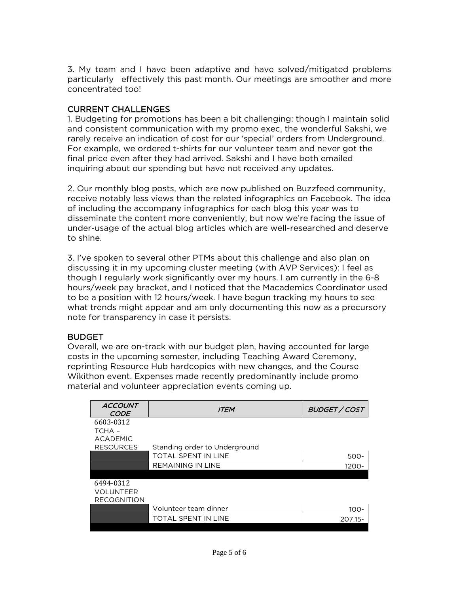3. My team and I have been adaptive and have solved/mitigated problems particularly effectively this past month. Our meetings are smoother and more concentrated too!

# CURRENT CHALLENGES

1. Budgeting for promotions has been a bit challenging: though I maintain solid and consistent communication with my promo exec, the wonderful Sakshi, we rarely receive an indication of cost for our 'special' orders from Underground. For example, we ordered t-shirts for our volunteer team and never got the final price even after they had arrived. Sakshi and I have both emailed inquiring about our spending but have not received any updates.

2. Our monthly blog posts, which are now published on Buzzfeed community, receive notably less views than the related infographics on Facebook. The idea of including the accompany infographics for each blog this year was to disseminate the content more conveniently, but now we're facing the issue of under-usage of the actual blog articles which are well-researched and deserve to shine.

3. I've spoken to several other PTMs about this challenge and also plan on discussing it in my upcoming cluster meeting (with AVP Services): I feel as though I regularly work significantly over my hours. I am currently in the 6-8 hours/week pay bracket, and I noticed that the Macademics Coordinator used to be a position with 12 hours/week. I have begun tracking my hours to see what trends might appear and am only documenting this now as a precursory note for transparency in case it persists.

# **BUDGET**

Overall, we are on-track with our budget plan, having accounted for large costs in the upcoming semester, including Teaching Award Ceremony, reprinting Resource Hub hardcopies with new changes, and the Course Wikithon event. Expenses made recently predominantly include promo material and volunteer appreciation events coming up.

| <b>ITEM</b>                   | BUDGET / COST |
|-------------------------------|---------------|
|                               |               |
|                               |               |
|                               |               |
| Standing order to Underground |               |
| <b>TOTAL SPENT IN LINE</b>    | 500-          |
| <b>REMAINING IN LINE</b>      | 1200-         |
|                               |               |
|                               |               |
|                               |               |
|                               |               |
| Volunteer team dinner         | 100-          |
| TOTAL SPENT IN LINE           | 207.15-       |
|                               |               |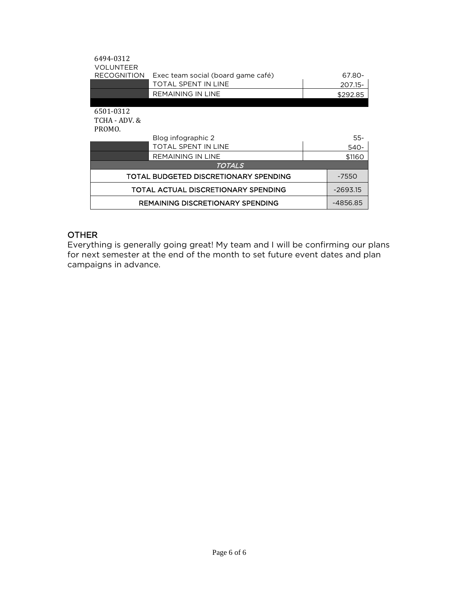| 6494-0312<br><b>VOLUNTEER</b>       |                                       |  |            |
|-------------------------------------|---------------------------------------|--|------------|
| <b>RECOGNITION</b>                  | Exec team social (board game café)    |  | 67.80-     |
|                                     | TOTAL SPENT IN LINE                   |  | 207.15-    |
|                                     | REMAINING IN LINE                     |  | \$292.85   |
|                                     |                                       |  |            |
| 6501-0312                           |                                       |  |            |
| TCHA - ADV. &                       |                                       |  |            |
| PROMO.                              |                                       |  |            |
|                                     | Blog infographic 2                    |  | $55 -$     |
|                                     | TOTAL SPENT IN LINE                   |  | 540-       |
|                                     | <b>REMAINING IN LINE</b>              |  | \$1160     |
|                                     | TOTALS                                |  |            |
|                                     | TOTAL BUDGETED DISCRETIONARY SPENDING |  | -7550      |
| TOTAL ACTUAL DISCRETIONARY SPENDING |                                       |  | $-2693.15$ |
| REMAINING DISCRETIONARY SPENDING    |                                       |  | -4856.85   |

# **OTHER**

Everything is generally going great! My team and I will be confirming our plans for next semester at the end of the month to set future event dates and plan campaigns in advance.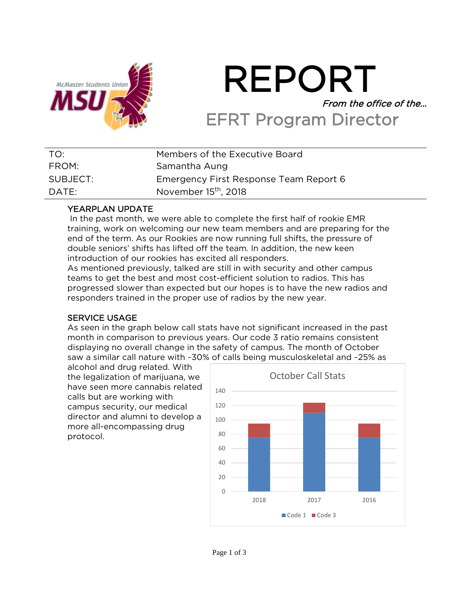

# REPORT From the office of the… EFRT Program Director

| TO:      | Members of the Executive Board         |
|----------|----------------------------------------|
| FROM:    | Samantha Aung                          |
| SUBJECT: | Emergency First Response Team Report 6 |
| DATE:    | November 15 <sup>th</sup> , 2018       |

# YEARPLAN UPDATE

In the past month, we were able to complete the first half of rookie EMR training, work on welcoming our new team members and are preparing for the end of the term. As our Rookies are now running full shifts, the pressure of double seniors' shifts has lifted off the team. In addition, the new keen introduction of our rookies has excited all responders.

As mentioned previously, talked are still in with security and other campus teams to get the best and most cost-efficient solution to radios. This has progressed slower than expected but our hopes is to have the new radios and responders trained in the proper use of radios by the new year.

# SERVICE USAGE

As seen in the graph below call stats have not significant increased in the past month in comparison to previous years. Our code 3 ratio remains consistent displaying no overall change in the safety of campus. The month of October saw a similar call nature with ~30% of calls being musculoskeletal and ~25% as

alcohol and drug related. With the legalization of marijuana, we have seen more cannabis related calls but are working with campus security, our medical director and alumni to develop a more all-encompassing drug protocol.

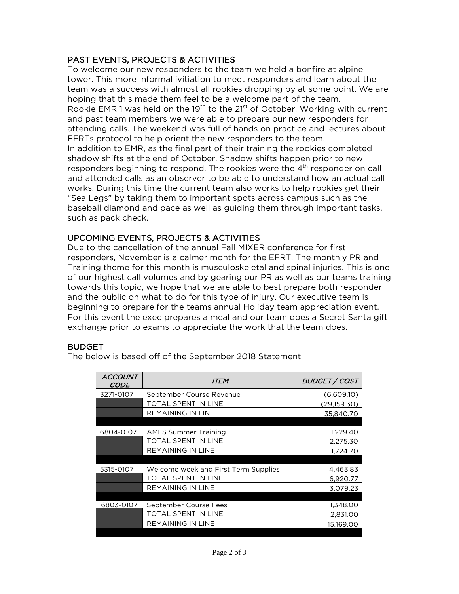# PAST EVENTS, PROJECTS & ACTIVITIES

To welcome our new responders to the team we held a bonfire at alpine tower. This more informal ivitiation to meet responders and learn about the team was a success with almost all rookies dropping by at some point. We are hoping that this made them feel to be a welcome part of the team. Rookie EMR 1 was held on the 19<sup>th</sup> to the 21<sup>st</sup> of October. Working with current and past team members we were able to prepare our new responders for attending calls. The weekend was full of hands on practice and lectures about EFRTs protocol to help orient the new responders to the team. In addition to EMR, as the final part of their training the rookies completed shadow shifts at the end of October. Shadow shifts happen prior to new responders beginning to respond. The rookies were the  $4<sup>th</sup>$  responder on call and attended calls as an observer to be able to understand how an actual call works. During this time the current team also works to help rookies get their "Sea Legs" by taking them to important spots across campus such as the baseball diamond and pace as well as guiding them through important tasks, such as pack check.

# UPCOMING EVENTS, PROJECTS & ACTIVITIES

Due to the cancellation of the annual Fall MIXER conference for first responders, November is a calmer month for the EFRT. The monthly PR and Training theme for this month is musculoskeletal and spinal injuries. This is one of our highest call volumes and by gearing our PR as well as our teams training towards this topic, we hope that we are able to best prepare both responder and the public on what to do for this type of injury. Our executive team is beginning to prepare for the teams annual Holiday team appreciation event. For this event the exec prepares a meal and our team does a Secret Santa gift exchange prior to exams to appreciate the work that the team does.

# **BUDGET**

The below is based off of the September 2018 Statement

| <b>ACCOUNT</b><br>CODE | <i>ITEM</i>                          | BUDGET / COST |
|------------------------|--------------------------------------|---------------|
| 3271-0107              | September Course Revenue             | (6,609.10)    |
|                        | TOTAL SPENT IN LINE                  | (29,159.30)   |
|                        | <b>REMAINING IN LINE</b>             | 35,840.70     |
|                        |                                      |               |
| 6804-0107              | <b>AMLS Summer Training</b>          | 1,229.40      |
|                        | TOTAL SPENT IN LINE                  | 2,275.30      |
|                        | <b>REMAINING IN LINE</b>             | 11,724.70     |
|                        |                                      |               |
| 5315-0107              | Welcome week and First Term Supplies | 4,463.83      |
|                        | TOTAL SPENT IN LINE                  | 6.920.77      |
|                        | <b>REMAINING IN LINE</b>             | 3.079.23      |
|                        |                                      |               |
| 6803-0107              | September Course Fees                | 1,348.00      |
|                        | TOTAL SPENT IN LINE                  | 2,831.00      |
|                        | <b>REMAINING IN LINE</b>             | 15,169.00     |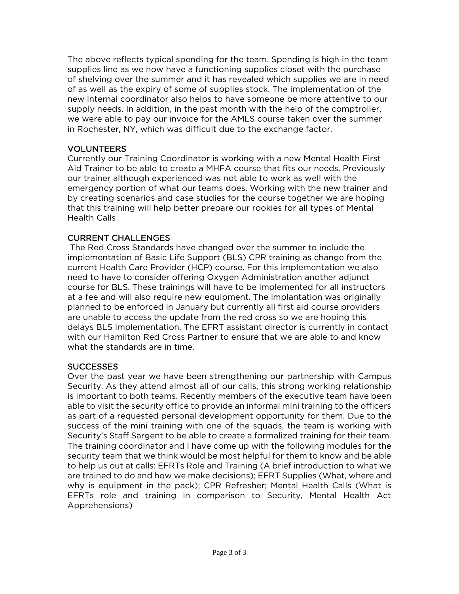The above reflects typical spending for the team. Spending is high in the team supplies line as we now have a functioning supplies closet with the purchase of shelving over the summer and it has revealed which supplies we are in need of as well as the expiry of some of supplies stock. The implementation of the new internal coordinator also helps to have someone be more attentive to our supply needs. In addition, in the past month with the help of the comptroller, we were able to pay our invoice for the AMLS course taken over the summer in Rochester, NY, which was difficult due to the exchange factor.

# VOLUNTEERS

Currently our Training Coordinator is working with a new Mental Health First Aid Trainer to be able to create a MHFA course that fits our needs. Previously our trainer although experienced was not able to work as well with the emergency portion of what our teams does. Working with the new trainer and by creating scenarios and case studies for the course together we are hoping that this training will help better prepare our rookies for all types of Mental Health Calls

# CURRENT CHALLENGES

The Red Cross Standards have changed over the summer to include the implementation of Basic Life Support (BLS) CPR training as change from the current Health Care Provider (HCP) course. For this implementation we also need to have to consider offering Oxygen Administration another adjunct course for BLS. These trainings will have to be implemented for all instructors at a fee and will also require new equipment. The implantation was originally planned to be enforced in January but currently all first aid course providers are unable to access the update from the red cross so we are hoping this delays BLS implementation. The EFRT assistant director is currently in contact with our Hamilton Red Cross Partner to ensure that we are able to and know what the standards are in time.

# **SUCCESSES**

Over the past year we have been strengthening our partnership with Campus Security. As they attend almost all of our calls, this strong working relationship is important to both teams. Recently members of the executive team have been able to visit the security office to provide an informal mini training to the officers as part of a requested personal development opportunity for them. Due to the success of the mini training with one of the squads, the team is working with Security's Staff Sargent to be able to create a formalized training for their team. The training coordinator and I have come up with the following modules for the security team that we think would be most helpful for them to know and be able to help us out at calls: EFRTs Role and Training (A brief introduction to what we are trained to do and how we make decisions); EFRT Supplies (What, where and why is equipment in the pack); CPR Refresher; Mental Health Calls (What is EFRTs role and training in comparison to Security, Mental Health Act Apprehensions)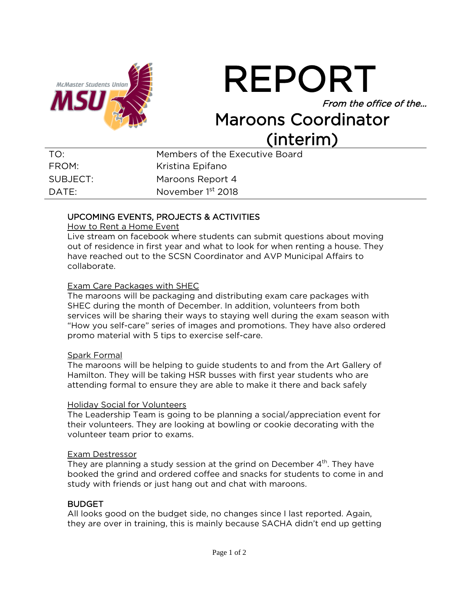![](_page_15_Picture_0.jpeg)

REPORT From the office of the… Maroons Coordinator

# (interim)

| TO:      | Members of the Executive Board |
|----------|--------------------------------|
| FROM:    | Kristina Epifano               |
| SUBJECT: | Maroons Report 4               |
| DATF:    | November 1 <sup>st</sup> 2018  |

# UPCOMING EVENTS, PROJECTS & ACTIVITIES

How to Rent a Home Event

Live stream on facebook where students can submit questions about moving out of residence in first year and what to look for when renting a house. They have reached out to the SCSN Coordinator and AVP Municipal Affairs to collaborate.

#### Exam Care Packages with SHEC

The maroons will be packaging and distributing exam care packages with SHEC during the month of December. In addition, volunteers from both services will be sharing their ways to staying well during the exam season with "How you self-care" series of images and promotions. They have also ordered promo material with 5 tips to exercise self-care.

#### Spark Formal

The maroons will be helping to guide students to and from the Art Gallery of Hamilton. They will be taking HSR busses with first year students who are attending formal to ensure they are able to make it there and back safely

#### Holiday Social for Volunteers

The Leadership Team is going to be planning a social/appreciation event for their volunteers. They are looking at bowling or cookie decorating with the volunteer team prior to exams.

#### Exam Destressor

They are planning a study session at the grind on December 4<sup>th</sup>. They have booked the grind and ordered coffee and snacks for students to come in and study with friends or just hang out and chat with maroons.

# BUDGET

All looks good on the budget side, no changes since I last reported. Again, they are over in training, this is mainly because SACHA didn't end up getting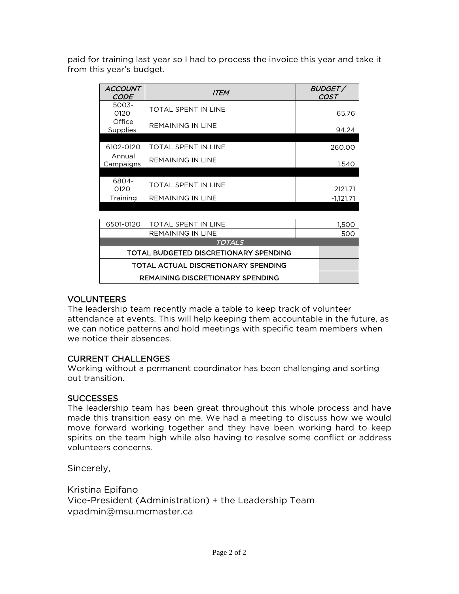paid for training last year so I had to process the invoice this year and take it from this year's budget.

| <b>ACCOUNT</b><br><b>CODE</b> | <b>ITEM</b>                | BUDGET/<br>COST |
|-------------------------------|----------------------------|-----------------|
| 5003-<br>0120                 | TOTAL SPENT IN LINE        | 65.76           |
| Office<br>Supplies            | <b>REMAINING IN LINE</b>   | 94.24           |
|                               |                            |                 |
| 6102-0120                     | <b>TOTAL SPENT IN LINE</b> | 260.00          |
| Annual<br>Campaigns           | <b>REMAINING IN LINE</b>   | 1.540           |
|                               |                            |                 |
| 6804-<br>0120                 | <b>TOTAL SPENT IN LINE</b> | 2121.71         |
| Training                      | <b>REMAINING IN LINE</b>   | $-1.121.71$     |

|                                         | 6501-0120   TOTAL SPENT IN LINE |  | 1.500 |  |
|-----------------------------------------|---------------------------------|--|-------|--|
|                                         | REMAINING IN LINE               |  | 500   |  |
| <b>TOTALS</b>                           |                                 |  |       |  |
| TOTAL BUDGETED DISCRETIONARY SPENDING   |                                 |  |       |  |
| TOTAL ACTUAL DISCRETIONARY SPENDING     |                                 |  |       |  |
| <b>REMAINING DISCRETIONARY SPENDING</b> |                                 |  |       |  |

# VOLUNTEERS

The leadership team recently made a table to keep track of volunteer attendance at events. This will help keeping them accountable in the future, as we can notice patterns and hold meetings with specific team members when we notice their absences.

# CURRENT CHALLENGES

Working without a permanent coordinator has been challenging and sorting out transition.

# SUCCESSES

The leadership team has been great throughout this whole process and have made this transition easy on me. We had a meeting to discuss how we would move forward working together and they have been working hard to keep spirits on the team high while also having to resolve some conflict or address volunteers concerns.

Sincerely,

Kristina Epifano Vice-President (Administration) + the Leadership Team vpadmin@msu.mcmaster.ca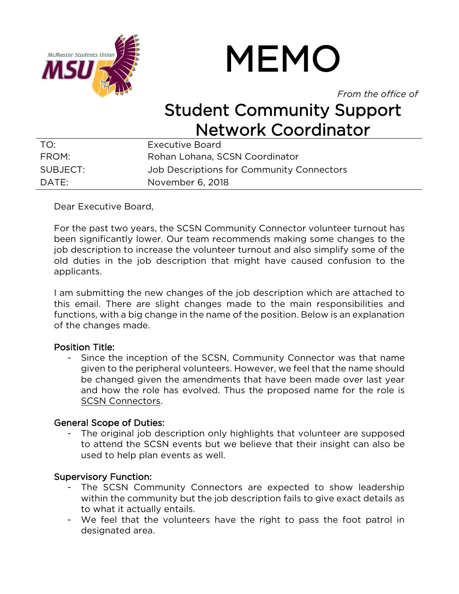![](_page_17_Picture_0.jpeg)

# MEMO

*From the office of*

# Student Community Support **Network Coordinator**

| TO:      | Executive Board                           |
|----------|-------------------------------------------|
| FROM:    | Rohan Lohana, SCSN Coordinator            |
| SUBJECT: | Job Descriptions for Community Connectors |
| DATF:    | November 6, 2018                          |

Dear Executive Board,

For the past two years, the SCSN Community Connector volunteer turnout has been significantly lower. Our team recommends making some changes to the job description to increase the volunteer turnout and also simplify some of the old duties in the job description that might have caused confusion to the applicants.

I am submitting the new changes of the job description which are attached to this email. There are slight changes made to the main responsibilities and functions, with a big change in the name of the position. Below is an explanation of the changes made.

# Position Title:

- Since the inception of the SCSN, Community Connector was that name given to the peripheral volunteers. However, we feel that the name should be changed given the amendments that have been made over last year and how the role has evolved. Thus the proposed name for the role is SCSN Connectors.

# General Scope of Duties:

The original job description only highlights that volunteer are supposed to attend the SCSN events but we believe that their insight can also be used to help plan events as well.

# Supervisory Function:

- The SCSN Community Connectors are expected to show leadership within the community but the job description fails to give exact details as to what it actually entails.
- We feel that the volunteers have the right to pass the foot patrol in designated area.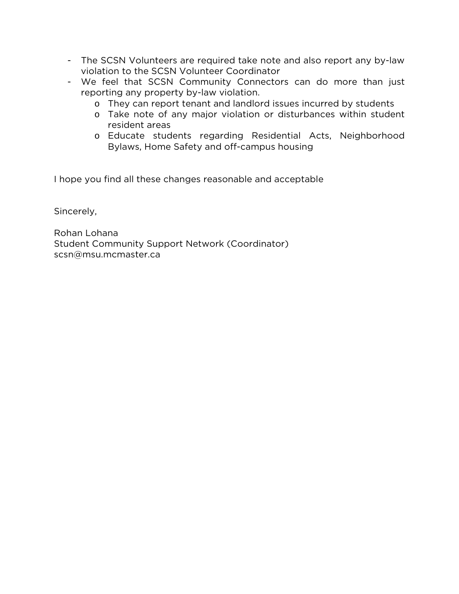- The SCSN Volunteers are required take note and also report any by-law violation to the SCSN Volunteer Coordinator
- We feel that SCSN Community Connectors can do more than just reporting any property by-law violation.
	- o They can report tenant and landlord issues incurred by students
	- o Take note of any major violation or disturbances within student resident areas
	- o Educate students regarding Residential Acts, Neighborhood Bylaws, Home Safety and off-campus housing

I hope you find all these changes reasonable and acceptable

Sincerely,

Rohan Lohana Student Community Support Network (Coordinator) scsn@msu.mcmaster.ca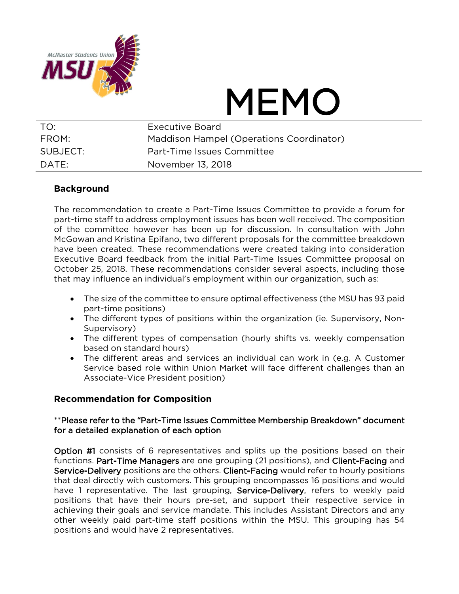![](_page_19_Picture_0.jpeg)

# MEMO

| TO:               | Executive Board                          |
|-------------------|------------------------------------------|
| FROM:             | Maddison Hampel (Operations Coordinator) |
| SUBJECT:          | Part-Time Issues Committee               |
| $\mathsf{DATF}$ : | November 13, 2018                        |

# **Background**

The recommendation to create a Part-Time Issues Committee to provide a forum for part-time staff to address employment issues has been well received. The composition of the committee however has been up for discussion. In consultation with John McGowan and Kristina Epifano, two different proposals for the committee breakdown have been created. These recommendations were created taking into consideration Executive Board feedback from the initial Part-Time Issues Committee proposal on October 25, 2018. These recommendations consider several aspects, including those that may influence an individual's employment within our organization, such as:

- The size of the committee to ensure optimal effectiveness (the MSU has 93 paid part-time positions)
- The different types of positions within the organization (ie. Supervisory, Non-Supervisory)
- The different types of compensation (hourly shifts vs. weekly compensation based on standard hours)
- The different areas and services an individual can work in (e.g. A Customer Service based role within Union Market will face different challenges than an Associate-Vice President position)

# **Recommendation for Composition**

# \*\*Please refer to the "Part-Time Issues Committee Membership Breakdown" document for a detailed explanation of each option

Option #1 consists of 6 representatives and splits up the positions based on their functions. Part-Time Managers are one grouping (21 positions), and Client-Facing and Service-Delivery positions are the others. Client-Facing would refer to hourly positions that deal directly with customers. This grouping encompasses 16 positions and would have 1 representative. The last grouping, Service-Delivery, refers to weekly paid positions that have their hours pre-set, and support their respective service in achieving their goals and service mandate. This includes Assistant Directors and any other weekly paid part-time staff positions within the MSU. This grouping has 54 positions and would have 2 representatives.